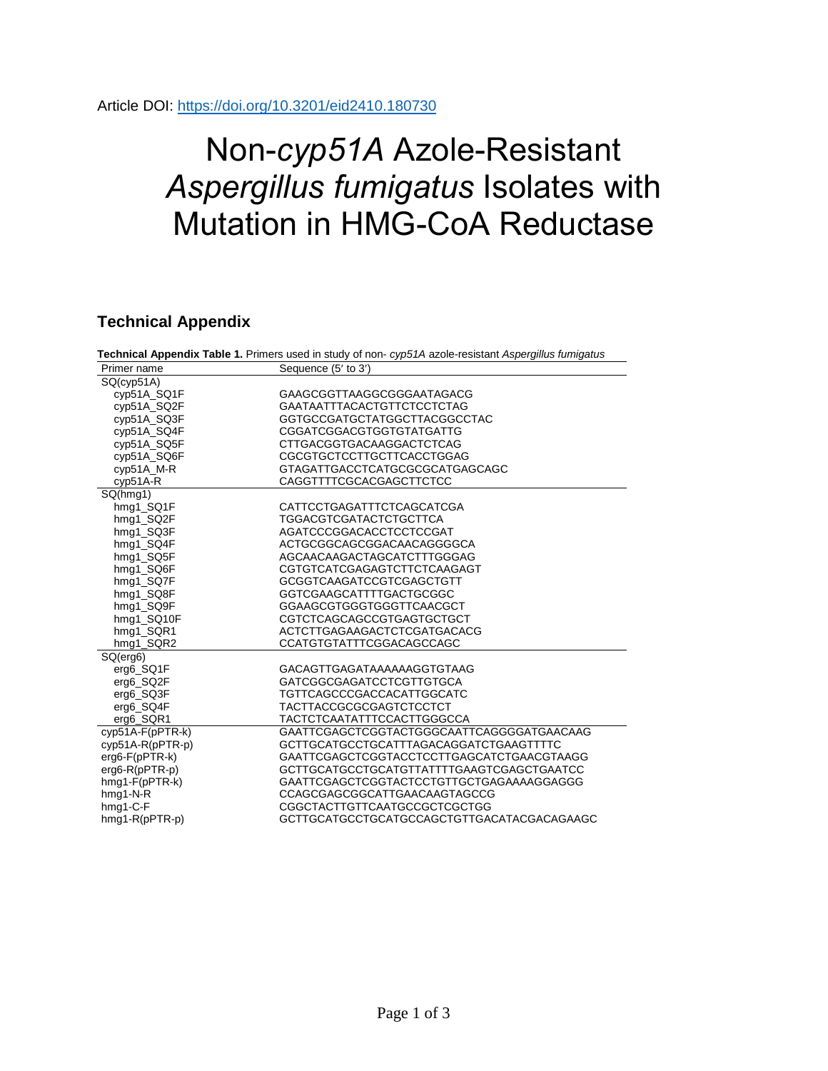Article DOI:<https://doi.org/10.3201/eid2410.180730>

## Non-*cyp51A* Azole-Resistant *Aspergillus fumigatus* Isolates with Mutation in HMG-CoA Reductase

## **Technical Appendix**

| Technical Appendix Table 1. Primers used in study of non-cyp51A azole-resistant Aspergillus fumigatus |                                            |  |  |  |  |
|-------------------------------------------------------------------------------------------------------|--------------------------------------------|--|--|--|--|
| Primer name                                                                                           | Sequence (5' to 3')                        |  |  |  |  |
| SQ(cyp51A)                                                                                            |                                            |  |  |  |  |
| cyp51A_SQ1F                                                                                           | GAAGCGGTTAAGGCGGGAATAGACG                  |  |  |  |  |
| cyp51A_SQ2F                                                                                           | GAATAATTTACACTGTTCTCCTCTAG                 |  |  |  |  |
| cyp51A_SQ3F                                                                                           | GGTGCCGATGCTATGGCTTACGGCCTAC               |  |  |  |  |
| cyp51A_SQ4F                                                                                           | CGGATCGGACGTGGTGTATGATTG                   |  |  |  |  |
| cyp51A_SQ5F                                                                                           | <b>CTTGACGGTGACAAGGACTCTCAG</b>            |  |  |  |  |
| cyp51A SQ6F                                                                                           | CGCGTGCTCCTTGCTTCACCTGGAG                  |  |  |  |  |
| cyp51A_M-R                                                                                            | GTAGATTGACCTCATGCGCGCATGAGCAGC             |  |  |  |  |
| $cyp51A-R$                                                                                            | CAGGTTTTCGCACGAGCTTCTCC                    |  |  |  |  |
| SQ(hmq1)                                                                                              |                                            |  |  |  |  |
| hmg1_SQ1F                                                                                             | CATTCCTGAGATTTCTCAGCATCGA                  |  |  |  |  |
| hmg1 SQ2F                                                                                             | <b>TGGACGTCGATACTCTGCTTCA</b>              |  |  |  |  |
| hmg1_SQ3F                                                                                             | AGATCCCGGACACCTCCTCCGAT                    |  |  |  |  |
| hmg1_SQ4F                                                                                             | ACTGCGGCAGCGGACAACAGGGGCA                  |  |  |  |  |
| hmg1_SQ5F                                                                                             | AGCAACAAGACTAGCATCTTTGGGAG                 |  |  |  |  |
| hmg1_SQ6F                                                                                             | CGTGTCATCGAGAGTCTTCTCAAGAGT                |  |  |  |  |
| hmg1_SQ7F                                                                                             | <b>GCGGTCAAGATCCGTCGAGCTGTT</b>            |  |  |  |  |
| hmg1_SQ8F                                                                                             | GGTCGAAGCATTTTGACTGCGGC                    |  |  |  |  |
| hmg1_SQ9F                                                                                             | GGAAGCGTGGGTGGGTTCAACGCT                   |  |  |  |  |
| hmg1 SQ10F                                                                                            | <b>CGTCTCAGCAGCCGTGAGTGCTGCT</b>           |  |  |  |  |
| hmg1_SQR1                                                                                             | ACTCTTGAGAAGACTCTCGATGACACG                |  |  |  |  |
| hmg1_SQR2                                                                                             | CCATGTGTATTTCGGACAGCCAGC                   |  |  |  |  |
| SQ(erg6)                                                                                              |                                            |  |  |  |  |
| erg6_SQ1F                                                                                             | GACAGTTGAGATAAAAAAGGTGTAAG                 |  |  |  |  |
| erg6_SQ2F                                                                                             | <b>GATCGGCGAGATCCTCGTTGTGCA</b>            |  |  |  |  |
| erg6 SQ3F                                                                                             | TGTTCAGCCCGACCACATTGGCATC                  |  |  |  |  |
| erg6_SQ4F                                                                                             | <b>TACTTACCGCGCGAGTCTCCTCT</b>             |  |  |  |  |
| erg6_SQR1                                                                                             | TACTCTCAATATTTCCACTTGGGCCA                 |  |  |  |  |
| cyp51A-F(pPTR-k)                                                                                      | GAATTCGAGCTCGGTACTGGGCAATTCAGGGGATGAACAAG  |  |  |  |  |
| $cyp51A-R(pPTR-p)$                                                                                    | GCTTGCATGCCTGCATTTAGACAGGATCTGAAGTTTTC     |  |  |  |  |
| $erg6-F(pPTR-k)$                                                                                      | GAATTCGAGCTCGGTACCTCCTTGAGCATCTGAACGTAAGG  |  |  |  |  |
| $erg6-R(pPTR-p)$                                                                                      | GCTTGCATGCCTGCATGTTATTTTGAAGTCGAGCTGAATCC  |  |  |  |  |
| $h$ mg1- $F(p$ PTR- $k)$                                                                              | GAATTCGAGCTCGGTACTCCTGTTGCTGAGAAAAGGAGGG   |  |  |  |  |
| $h$ mg1-N-R                                                                                           | CCAGCGAGCGGCATTGAACAAGTAGCCG               |  |  |  |  |
| $h$ mg1-C-F                                                                                           | CGGCTACTTGTTCAATGCCGCTCGCTGG               |  |  |  |  |
| hmg1-R(pPTR-p)                                                                                        | GCTTGCATGCCTGCATGCCAGCTGTTGACATACGACAGAAGC |  |  |  |  |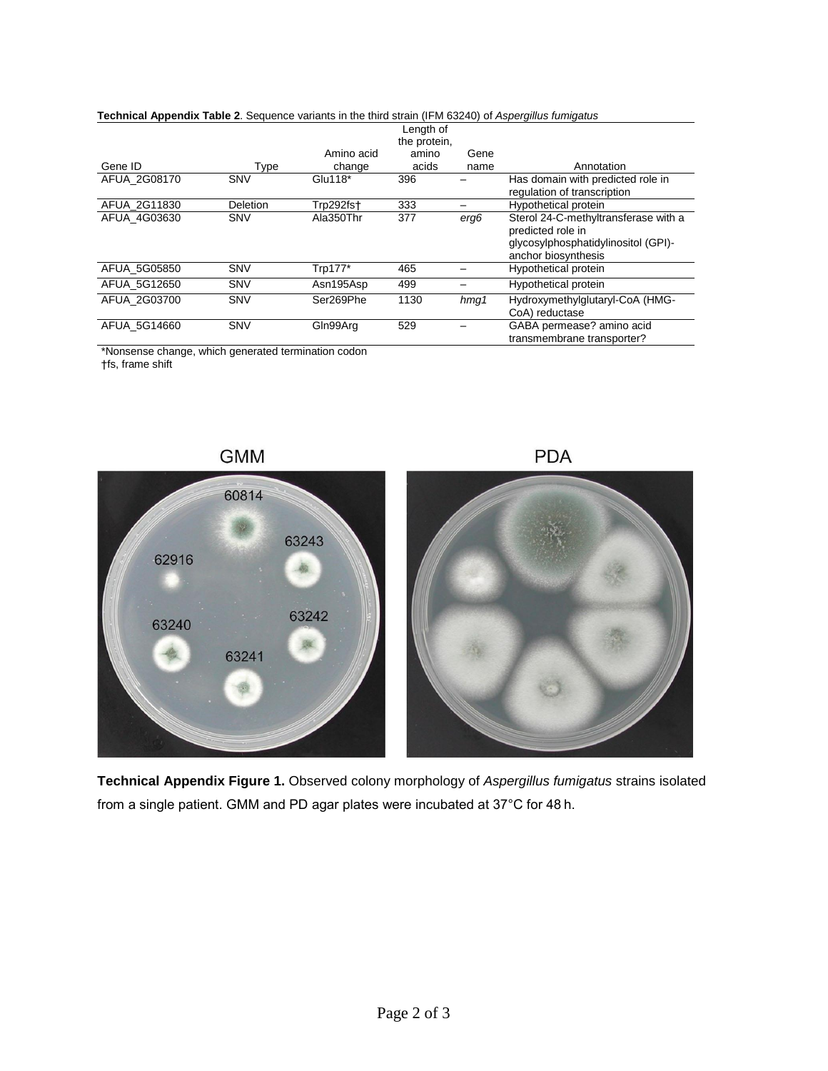| Technical Appendix Table 2. Sequence variants in the third strain (IFM 63240) of Aspergillus fumigatus |              |            |           |         |                                      |  |  |
|--------------------------------------------------------------------------------------------------------|--------------|------------|-----------|---------|--------------------------------------|--|--|
|                                                                                                        |              |            | Length of |         |                                      |  |  |
|                                                                                                        | the protein, |            |           |         |                                      |  |  |
|                                                                                                        |              | Amino acid | amino     | Gene    |                                      |  |  |
| Gene ID                                                                                                | Type         | change     | acids     | name    | Annotation                           |  |  |
| AFUA_2G08170                                                                                           | SNV          | Glu118*    | 396       |         | Has domain with predicted role in    |  |  |
|                                                                                                        |              |            |           |         | regulation of transcription          |  |  |
| AFUA 2G11830                                                                                           | Deletion     | Trp292fst  | 333       |         | Hypothetical protein                 |  |  |
| AFUA 4G03630                                                                                           | <b>SNV</b>   | Ala350Thr  | 377       | erg6    | Sterol 24-C-methyltransferase with a |  |  |
|                                                                                                        |              |            |           |         | predicted role in                    |  |  |
|                                                                                                        |              |            |           |         | qlycosylphosphatidylinositol (GPI)-  |  |  |
|                                                                                                        |              |            |           |         | anchor biosynthesis                  |  |  |
| AFUA 5G05850                                                                                           | SNV          | Trp177*    | 465       |         | Hypothetical protein                 |  |  |
| AFUA 5G12650                                                                                           | SNV          | Asn195Asp  | 499       |         | Hypothetical protein                 |  |  |
| AFUA 2G03700                                                                                           | <b>SNV</b>   | Ser269Phe  | 1130      | $h$ mg1 | Hydroxymethylglutaryl-CoA (HMG-      |  |  |
|                                                                                                        |              |            |           |         | CoA) reductase                       |  |  |
| AFUA 5G14660                                                                                           | SNV          | Gln99Arg   | 529       |         | GABA permease? amino acid            |  |  |
|                                                                                                        |              |            |           |         | transmembrane transporter?           |  |  |

\*Nonsense change, which generated termination codon

†fs, frame shift



**Technical Appendix Figure 1.** Observed colony morphology of *Aspergillus fumigatus* strains isolated from a single patient. GMM and PD agar plates were incubated at 37°C for 48 h.